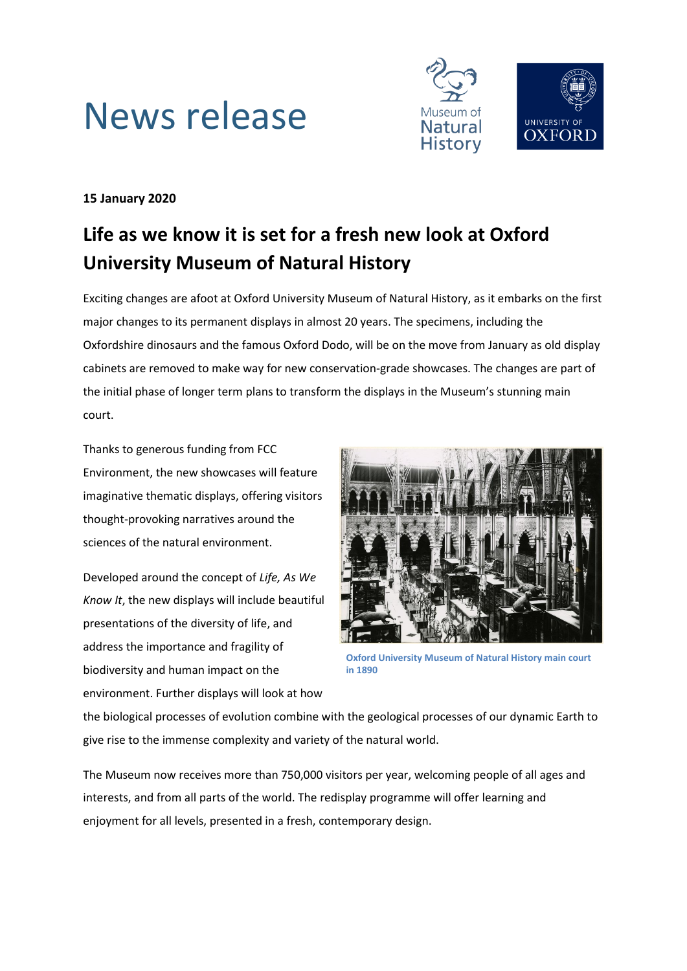



## **15 January 2020**

# **Life as we know it is set for a fresh new look at Oxford University Museum of Natural History**

Exciting changes are afoot at Oxford University Museum of Natural History, as it embarks on the first major changes to its permanent displays in almost 20 years. The specimens, including the Oxfordshire dinosaurs and the famous Oxford Dodo, will be on the move from January as old display cabinets are removed to make way for new conservation-grade showcases. The changes are part of the initial phase of longer term plans to transform the displays in the Museum's stunning main court.

Thanks to generous funding from FCC Environment, the new showcases will feature imaginative thematic displays, offering visitors thought-provoking narratives around the sciences of the natural environment.

Developed around the concept of *Life, As We Know It*, the new displays will include beautiful presentations of the diversity of life, and address the importance and fragility of biodiversity and human impact on the environment. Further displays will look at how



**Oxford University Museum of Natural History main court in 1890**

the biological processes of evolution combine with the geological processes of our dynamic Earth to give rise to the immense complexity and variety of the natural world.

The Museum now receives more than 750,000 visitors per year, welcoming people of all ages and interests, and from all parts of the world. The redisplay programme will offer learning and enjoyment for all levels, presented in a fresh, contemporary design.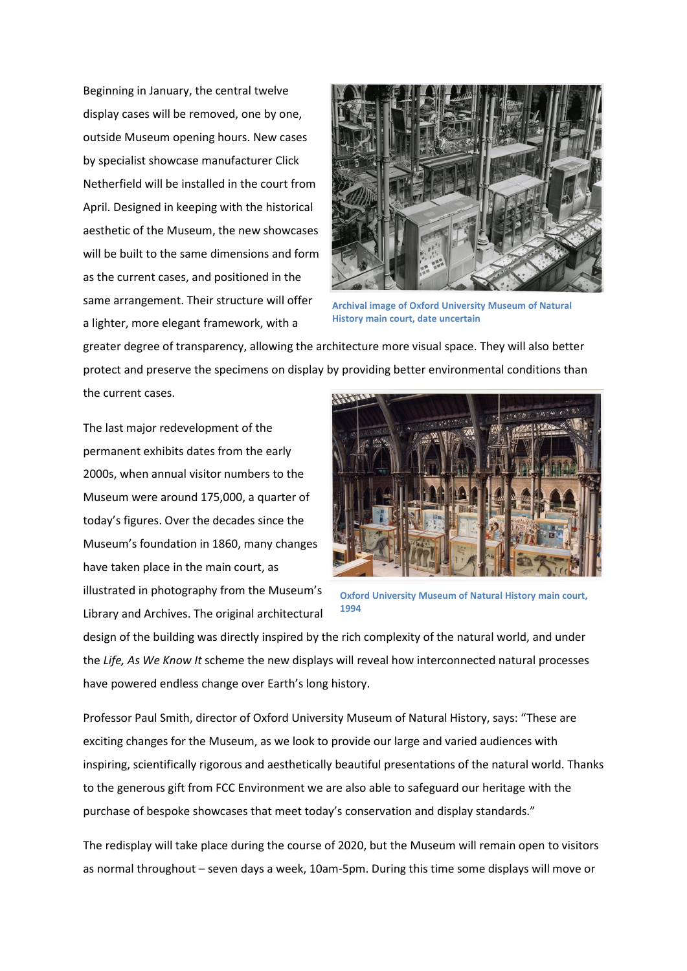Beginning in January, the central twelve display cases will be removed, one by one, outside Museum opening hours. New cases by specialist showcase manufacturer Click Netherfield will be installed in the court from April. Designed in keeping with the historical aesthetic of the Museum, the new showcases will be built to the same dimensions and form as the current cases, and positioned in the same arrangement. Their structure will offer a lighter, more elegant framework, with a



**Archival image of Oxford University Museum of Natural History main court, date uncertain**

greater degree of transparency, allowing the architecture more visual space. They will also better protect and preserve the specimens on display by providing better environmental conditions than the current cases.

The last major redevelopment of the permanent exhibits dates from the early 2000s, when annual visitor numbers to the Museum were around 175,000, a quarter of today's figures. Over the decades since the Museum's foundation in 1860, many changes have taken place in the main court, as illustrated in photography from the Museum's Library and Archives. The original architectural



**Oxford University Museum of Natural History main court, 1994**

design of the building was directly inspired by the rich complexity of the natural world, and under the *Life, As We Know It* scheme the new displays will reveal how interconnected natural processes have powered endless change over Earth's long history.

Professor Paul Smith, director of Oxford University Museum of Natural History, says: "These are exciting changes for the Museum, as we look to provide our large and varied audiences with inspiring, scientifically rigorous and aesthetically beautiful presentations of the natural world. Thanks to the generous gift from FCC Environment we are also able to safeguard our heritage with the purchase of bespoke showcases that meet today's conservation and display standards."

The redisplay will take place during the course of 2020, but the Museum will remain open to visitors as normal throughout – seven days a week, 10am-5pm. During this time some displays will move or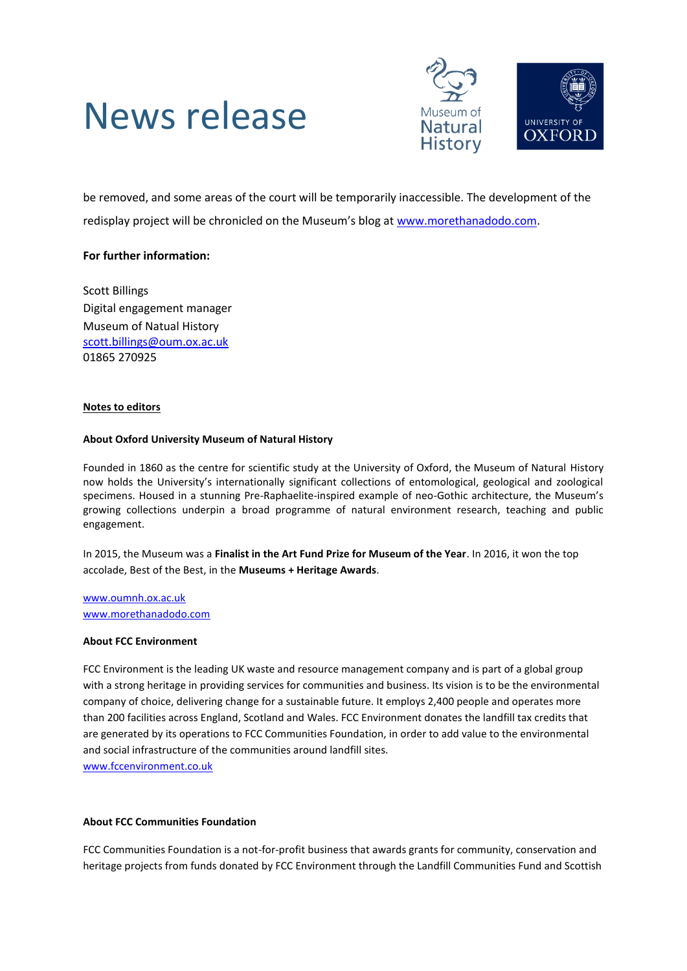# News release



be removed, and some areas of the court will be temporarily inaccessible. The development of the redisplay project will be chronicled on the Museum's blog at [www.morethanadodo.com.](http://www.morethanadodo.com/)

### **For further information:**

Scott Billings Digital engagement manager Museum of Natual History [scott.billings@oum.ox.ac.uk](mailto:scott.billings@oum.ox.ac.uk) 01865 270925

#### **Notes to editors**

#### **About Oxford University Museum of Natural History**

Founded in 1860 as the centre for scientific study at the University of Oxford, the Museum of Natural History now holds the University's internationally significant collections of entomological, geological and zoological specimens. Housed in a stunning Pre-Raphaelite-inspired example of neo-Gothic architecture, the Museum's growing collections underpin a broad programme of natural environment research, teaching and public engagement.

In 2015, the Museum was a **Finalist in the Art Fund Prize for Museum of the Year**. In 2016, it won the top accolade, Best of the Best, in the **Museums + Heritage Awards**.

[www.oumnh.ox.ac.uk](http://www.oumnh.ox.ac.uk/) [www.morethanadodo.com](http://www.morethanadodo.com/)

#### **About FCC Environment**

FCC Environment is the leading UK waste and resource management company and is part of a global group with a strong heritage in providing services for communities and business. Its vision is to be the environmental company of choice, delivering change for a sustainable future. It employs 2,400 people and operates more than 200 facilities across England, Scotland and Wales. FCC Environment donates the landfill tax credits that are generated by its operations to FCC Communities Foundation, in order to add value to the environmental and social infrastructure of the communities around landfill sites. www.fccenvironment.co.uk

#### **About FCC Communities Foundation**

FCC Communities Foundation is a not-for-profit business that awards grants for community, conservation and heritage projects from funds donated by FCC Environment through the Landfill Communities Fund and Scottish